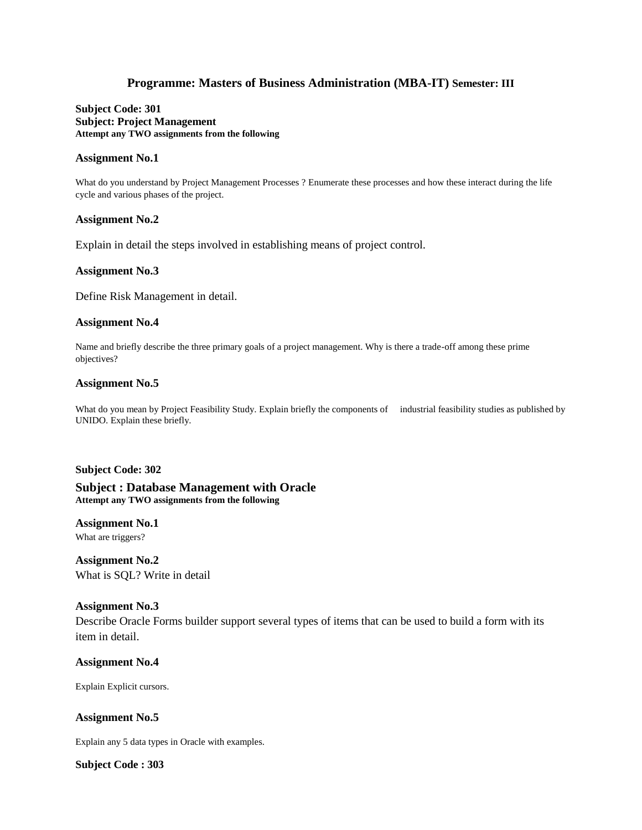# **Programme: Masters of Business Administration (MBA-IT) Semester: III**

**Subject Code: 301 Subject: Project Management Attempt any TWO assignments from the following**

#### **Assignment No.1**

What do you understand by Project Management Processes ? Enumerate these processes and how these interact during the life cycle and various phases of the project.

#### **Assignment No.2**

Explain in detail the steps involved in establishing means of project control.

#### **Assignment No.3**

Define Risk Management in detail.

#### **Assignment No.4**

Name and briefly describe the three primary goals of a project management. Why is there a trade-off among these prime objectives?

#### **Assignment No.5**

What do you mean by Project Feasibility Study. Explain briefly the components of industrial feasibility studies as published by UNIDO. Explain these briefly.

#### **Subject Code: 302**

**Subject : Database Management with Oracle Attempt any TWO assignments from the following**

**Assignment No.1** 

What are triggers?

**Assignment No.2**  What is SQL? Write in detail

### **Assignment No.3**

Describe Oracle Forms builder support several types of items that can be used to build a form with its item in detail.

**Assignment No.4**

Explain Explicit cursors.

**Assignment No.5**

Explain any 5 data types in Oracle with examples.

**Subject Code : 303**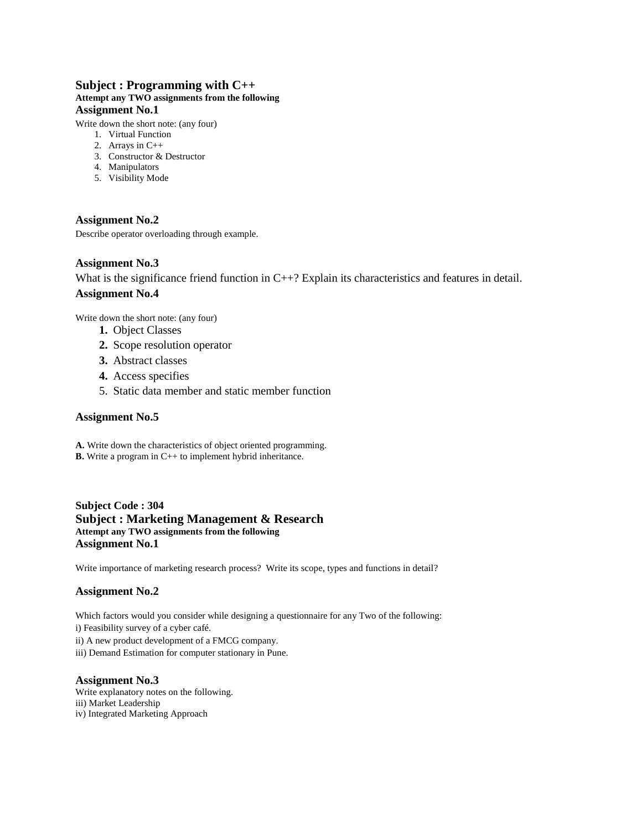## **Subject : Programming with C++ Attempt any TWO assignments from the following Assignment No.1**

Write down the short note: (any four)

- 1. Virtual Function
- 2. Arrays in C++
- 3. Constructor & Destructor
- 4. Manipulators
- 5. Visibility Mode

# **Assignment No.2**

Describe operator overloading through example.

### **Assignment No.3**

What is the significance friend function in C++? Explain its characteristics and features in detail. **Assignment No.4**

Write down the short note: (any four)

- **1.** Object Classes
- **2.** Scope resolution operator
- **3.** Abstract classes
- **4.** Access specifies
- 5. Static data member and static member function

### **Assignment No.5**

**A.** Write down the characteristics of object oriented programming. **B.** Write a program in C++ to implement hybrid inheritance.

**Subject Code : 304 Subject : Marketing Management & Research Attempt any TWO assignments from the following Assignment No.1** 

Write importance of marketing research process? Write its scope, types and functions in detail?

### **Assignment No.2**

Which factors would you consider while designing a questionnaire for any Two of the following:

- i) Feasibility survey of a cyber café.
- ii) A new product development of a FMCG company.
- iii) Demand Estimation for computer stationary in Pune.

### **Assignment No.3**

Write explanatory notes on the following. iii) Market Leadership iv) Integrated Marketing Approach